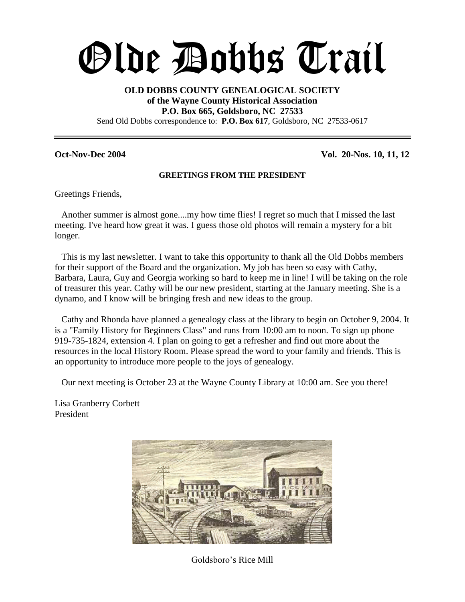# Olde Dobbs Trail

#### **OLD DOBBS COUNTY GENEALOGICAL SOCIETY of the Wayne County Historical Association P.O. Box 665, Goldsboro, NC 27533** Send Old Dobbs correspondence to: **P.O. Box 617**, Goldsboro, NC 27533-0617

**Oct-Nov-Dec 2004 Vol. 20-Nos. 10, 11, 12**

#### **GREETINGS FROM THE PRESIDENT**

Greetings Friends,

Another summer is almost gone....my how time flies! I regret so much that I missed the last meeting. I've heard how great it was. I guess those old photos will remain a mystery for a bit longer.

This is my last newsletter. I want to take this opportunity to thank all the Old Dobbs members for their support of the Board and the organization. My job has been so easy with Cathy, Barbara, Laura, Guy and Georgia working so hard to keep me in line! I will be taking on the role of treasurer this year. Cathy will be our new president, starting at the January meeting. She is a dynamo, and I know will be bringing fresh and new ideas to the group.

Cathy and Rhonda have planned a genealogy class at the library to begin on October 9, 2004. It is a "Family History for Beginners Class" and runs from 10:00 am to noon. To sign up phone 919-735-1824, extension 4. I plan on going to get a refresher and find out more about the resources in the local History Room. Please spread the word to your family and friends. This is an opportunity to introduce more people to the joys of genealogy.

Our next meeting is October 23 at the Wayne County Library at 10:00 am. See you there!

Lisa Granberry Corbett President



Goldsboro's Rice Mill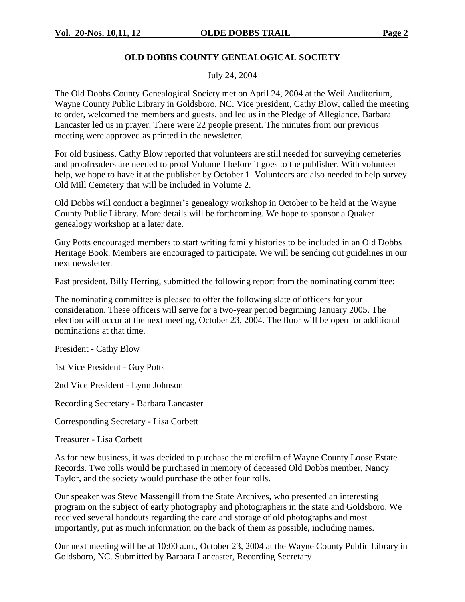#### **OLD DOBBS COUNTY GENEALOGICAL SOCIETY**

July 24, 2004

The Old Dobbs County Genealogical Society met on April 24, 2004 at the Weil Auditorium, Wayne County Public Library in Goldsboro, NC. Vice president, Cathy Blow, called the meeting to order, welcomed the members and guests, and led us in the Pledge of Allegiance. Barbara Lancaster led us in prayer. There were 22 people present. The minutes from our previous meeting were approved as printed in the newsletter.

For old business, Cathy Blow reported that volunteers are still needed for surveying cemeteries and proofreaders are needed to proof Volume I before it goes to the publisher. With volunteer help, we hope to have it at the publisher by October 1. Volunteers are also needed to help survey Old Mill Cemetery that will be included in Volume 2.

Old Dobbs will conduct a beginner's genealogy workshop in October to be held at the Wayne County Public Library. More details will be forthcoming. We hope to sponsor a Quaker genealogy workshop at a later date.

Guy Potts encouraged members to start writing family histories to be included in an Old Dobbs Heritage Book. Members are encouraged to participate. We will be sending out guidelines in our next newsletter.

Past president, Billy Herring, submitted the following report from the nominating committee:

The nominating committee is pleased to offer the following slate of officers for your consideration. These officers will serve for a two-year period beginning January 2005. The election will occur at the next meeting, October 23, 2004. The floor will be open for additional nominations at that time.

President - Cathy Blow

1st Vice President - Guy Potts

2nd Vice President - Lynn Johnson

Recording Secretary - Barbara Lancaster

Corresponding Secretary - Lisa Corbett

Treasurer - Lisa Corbett

As for new business, it was decided to purchase the microfilm of Wayne County Loose Estate Records. Two rolls would be purchased in memory of deceased Old Dobbs member, Nancy Taylor, and the society would purchase the other four rolls.

Our speaker was Steve Massengill from the State Archives, who presented an interesting program on the subject of early photography and photographers in the state and Goldsboro. We received several handouts regarding the care and storage of old photographs and most importantly, put as much information on the back of them as possible, including names.

Our next meeting will be at 10:00 a.m., October 23, 2004 at the Wayne County Public Library in Goldsboro, NC. Submitted by Barbara Lancaster, Recording Secretary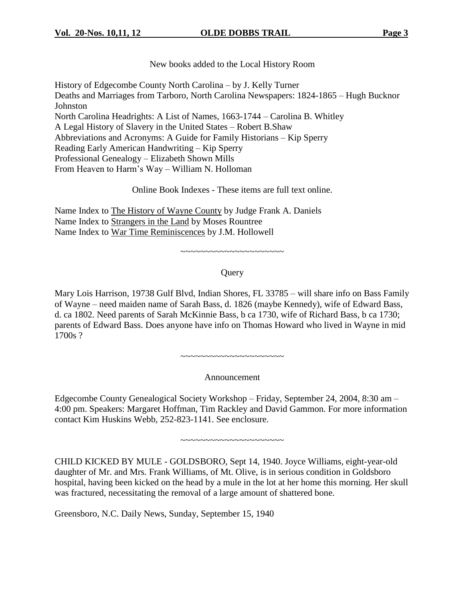New books added to the Local History Room

History of Edgecombe County North Carolina – by J. Kelly Turner Deaths and Marriages from Tarboro, North Carolina Newspapers: 1824-1865 – Hugh Bucknor Johnston North Carolina Headrights: A List of Names, 1663-1744 – Carolina B. Whitley A Legal History of Slavery in the United States –Robert B.Shaw Abbreviations and Acronyms: A Guide for Family Historians – Kip Sperry Reading Early American Handwriting –Kip Sperry Professional Genealogy –Elizabeth Shown Mills From Heaven to Harm's Way – William N. Holloman

Online Book Indexes - These items are full text online.

Name Index to The History of Wayne County by Judge Frank A. Daniels Name Index to Strangers in the Land by Moses Rountree Name Index to War Time Reminiscences by J.M. Hollowell

~~~~~~~~~~~~~~~~~~~~~

#### **Ouery**

Mary Lois Harrison, 19738 Gulf Blvd, Indian Shores, FL 33785 – will share info on Bass Family of Wayne –need maiden name of Sarah Bass, d. 1826 (maybe Kennedy), wife of Edward Bass, d. ca 1802. Need parents of Sarah McKinnie Bass, b ca 1730, wife of Richard Bass, b ca 1730; parents of Edward Bass. Does anyone have info on Thomas Howard who lived in Wayne in mid 1700s ?

~~~~~~~~~~~~~~~~~~~~

Announcement

Edgecombe County Genealogical Society Workshop –Friday, September 24, 2004, 8:30 am – 4:00 pm. Speakers: Margaret Hoffman, Tim Rackley and David Gammon. For more information contact Kim Huskins Webb, 252-823-1141. See enclosure.

~~~~~~~~~~~~~~~~~~~~~

CHILD KICKED BY MULE - GOLDSBORO, Sept 14, 1940. Joyce Williams, eight-year-old daughter of Mr. and Mrs. Frank Williams, of Mt. Olive, is in serious condition in Goldsboro hospital, having been kicked on the head by a mule in the lot at her home this morning. Her skull was fractured, necessitating the removal of a large amount of shattered bone.

Greensboro, N.C. Daily News, Sunday, September 15, 1940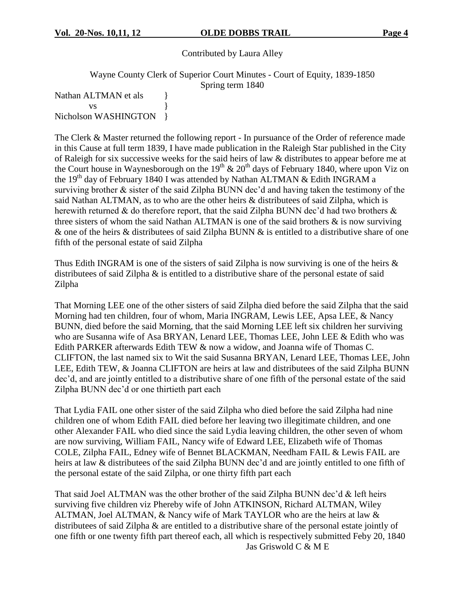#### Contributed by Laura Alley

Wayne County Clerk of Superior Court Minutes - Court of Equity, 1839-1850

Spring term 1840

Nathan ALTMAN et als  $\qquad \}$  $\mathbf{v}\mathbf{s}$  } Nicholson WASHINGTON }

The Clerk & Master returned the following report - In pursuance of the Order of reference made in this Cause at full term 1839, I have made publication in the Raleigh Star published in the City of Raleigh for six successive weeks for the said heirs of law & distributes to appear before me at the Court house in Waynesborough on the 19<sup>th</sup> & 20<sup>th</sup> days of February 1840, where upon Viz on the 19<sup>th</sup> day of February 1840 I was attended by Nathan ALTMAN & Edith INGRAM a surviving brother  $&$  sister of the said Zilpha BUNN dec'd and having taken the testimony of the said Nathan ALTMAN, as to who are the other heirs & distributees of said Zilpha, which is herewith returned  $\&$  do therefore report, that the said Zilpha BUNN dec'd had two brothers  $\&$ three sisters of whom the said Nathan ALTMAN is one of the said brothers & is now surviving & one of the heirs & distributees of said Zilpha BUNN  $\&$  is entitled to a distributive share of one fifth of the personal estate of said Zilpha

Thus Edith INGRAM is one of the sisters of said Zilpha is now surviving is one of the heirs  $\&$ distributees of said Zilpha & is entitled to a distributive share of the personal estate of said Zilpha

That Morning LEE one of the other sisters of said Zilpha died before the said Zilpha that the said Morning had ten children, four of whom, Maria INGRAM, Lewis LEE, Apsa LEE, & Nancy BUNN, died before the said Morning, that the said Morning LEE left six children her surviving who are Susanna wife of Asa BRYAN, Lenard LEE, Thomas LEE, John LEE & Edith who was Edith PARKER afterwards Edith TEW & now a widow, and Joanna wife of Thomas C. CLIFTON, the last named six to Wit the said Susanna BRYAN, Lenard LEE, Thomas LEE, John LEE, Edith TEW, & Joanna CLIFTON are heirs at law and distributees of the said Zilpha BUNN dec'd, and are jointly entitled to a distributive share of one fifth of the personal estate of the said Zilpha BUNN dec'd or one thirtieth part each

That Lydia FAIL one other sister of the said Zilpha who died before the said Zilpha had nine children one of whom Edith FAIL died before her leaving two illegitimate children, and one other Alexander FAIL who died since the said Lydia leaving children, the other seven of whom are now surviving, William FAIL, Nancy wife of Edward LEE, Elizabeth wife of Thomas COLE, Zilpha FAIL, Edney wife of Bennet BLACKMAN, Needham FAIL & Lewis FAIL are heirs at law  $\&$  distributees of the said Zilpha BUNN dec'd and are jointly entitled to one fifth of the personal estate of the said Zilpha, or one thirty fifth part each

That said Joel ALTMAN was the other brother of the said Zilpha BUNN dec'd & left heirs surviving five children viz Phereby wife of John ATKINSON, Richard ALTMAN, Wiley ALTMAN, Joel ALTMAN, & Nancy wife of Mark TAYLOR who are the heirs at law & distributees of said Zilpha & are entitled to a distributive share of the personal estate jointly of one fifth or one twenty fifth part thereof each, all which is respectively submitted Feby 20, 1840 Jas Griswold C & M E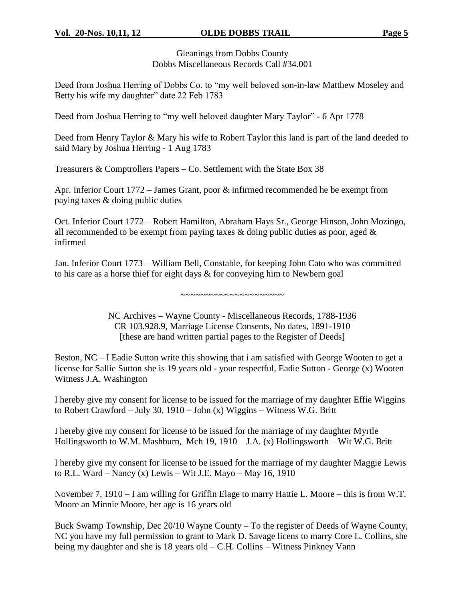Gleanings from Dobbs County Dobbs Miscellaneous Records Call #34.001

Deed from Joshua Herring of Dobbs Co. to "my well beloved son-in-law Matthew Moseley and Betty his wife my daughter" date 22 Feb 1783

Deed from Joshua Herring to "my well beloved daughter Mary Taylor" - 6 Apr 1778

Deed from Henry Taylor & Mary his wife to Robert Taylor this land is part of the land deeded to said Mary by Joshua Herring - 1 Aug 1783

Treasurers & Comptrollers Papers –Co. Settlement with the State Box 38

Apr. Inferior Court 1772 – James Grant, poor & infirmed recommended he be exempt from paying taxes & doing public duties

Oct. Inferior Court 1772 – Robert Hamilton, Abraham Hays Sr., George Hinson, John Mozingo, all recommended to be exempt from paying taxes  $\&$  doing public duties as poor, aged  $\&$ infirmed

Jan. Inferior Court 1773 – William Bell, Constable, for keeping John Cato who was committed to his care as a horse thief for eight days & for conveying him to Newbern goal

~~~~~~~~~~~~~~~~~~~~

NC Archives –Wayne County - Miscellaneous Records, 1788-1936 CR 103.928.9, Marriage License Consents, No dates, 1891-1910 [these are hand written partial pages to the Register of Deeds]

Beston, NC –I Eadie Sutton write this showing that i am satisfied with George Wooten to get a license for Sallie Sutton she is 19 years old - your respectful, Eadie Sutton - George (x) Wooten Witness J.A. Washington

I hereby give my consent for license to be issued for the marriage of my daughter Effie Wiggins to Robert Crawford – July 30, 1910 – John (x) Wiggins – Witness W.G. Britt

I hereby give my consent for license to be issued for the marriage of my daughter Myrtle Hollingsworth to W.M. Mashburn, Mch 19, 1910 – J.A.  $(x)$  Hollingsworth – Wit W.G. Britt

I hereby give my consent for license to be issued for the marriage of my daughter Maggie Lewis to R.L. Ward – Nancy (x) Lewis – Wit J.E. Mayo – May 16, 1910

November 7, 1910 – I am willing for Griffin Elage to marry Hattie L. Moore – this is from W.T. Moore an Minnie Moore, her age is 16 years old

Buck Swamp Township, Dec 20/10 Wayne County – To the register of Deeds of Wayne County, NC you have my full permission to grant to Mark D. Savage licens to marry Core L. Collins, she being my daughter and she is 18 years old – C.H. Collins – Witness Pinkney Vann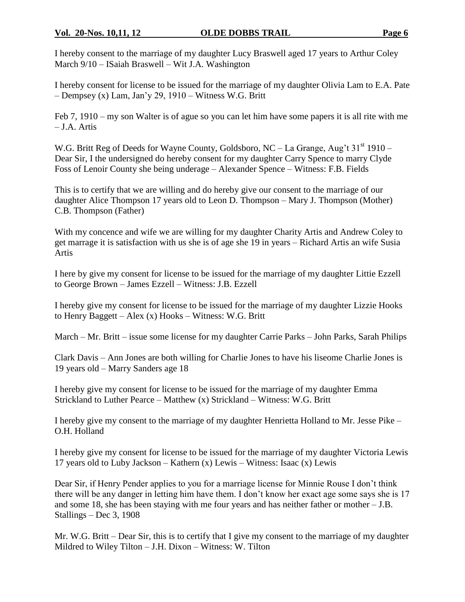#### **Vol. 20-Nos. 10,11, 12 OLDE DOBBS TRAIL Page 6**

I hereby consent to the marriage of my daughter Lucy Braswell aged 17 years to Arthur Coley March 9/10 – ISaiah Braswell – Wit J.A. Washington

I hereby consent for license to be issued for the marriage of my daughter Olivia Lam to E.A. Pate  $-$  Dempsey (x) Lam, Jan'y 29, 1910 – Witness W.G. Britt

Feb 7, 1910 –my son Walter is of ague so you can let him have some papers it is all rite with me –J.A. Artis

W.G. Britt Reg of Deeds for Wayne County, Goldsboro, NC – La Grange, Aug't  $31<sup>st</sup> 1910$  – Dear Sir, I the undersigned do hereby consent for my daughter Carry Spence to marry Clyde Foss of Lenoir County she being underage – Alexander Spence – Witness: F.B. Fields

This is to certify that we are willing and do hereby give our consent to the marriage of our daughter Alice Thompson 17 years old to Leon D. Thompson – Mary J. Thompson (Mother) C.B. Thompson (Father)

With my concence and wife we are willing for my daughter Charity Artis and Andrew Coley to get marrage it is satisfaction with us she is of age she 19 in years –Richard Artis an wife Susia Artis

I here by give my consent for license to be issued for the marriage of my daughter Littie Ezzell to George Brown –James Ezzell –Witness: J.B. Ezzell

I hereby give my consent for license to be issued for the marriage of my daughter Lizzie Hooks to Henry Baggett – Alex  $(x)$  Hooks – Witness: W.G. Britt

March – Mr. Britt – issue some license for my daughter Carrie Parks – John Parks, Sarah Philips

Clark Davis –Ann Jones are both willing for Charlie Jones to have his liseome Charlie Jones is 19 years old –Marry Sanders age 18

I hereby give my consent for license to be issued for the marriage of my daughter Emma Strickland to Luther Pearce – Matthew  $(x)$  Strickland – Witness: W.G. Britt

I hereby give my consent to the marriage of my daughter Henrietta Holland to Mr. Jesse Pike – O.H. Holland

I hereby give my consent for license to be issued for the marriage of my daughter Victoria Lewis 17 years old to Luby Jackson – Kathern  $(x)$  Lewis – Witness: Isaac  $(x)$  Lewis

Dear Sir, if Henry Pender applies to you for a marriage license for Minnie Rouse I don't think there will be any danger in letting him have them. I don't know her exact age some says she is 17 and some 18, she has been staying with me four years and has neither father or mother –J.B. Stallings – Dec 3, 1908

Mr. W.G. Britt –Dear Sir, this is to certify that I give my consent to the marriage of my daughter Mildred to Wiley Tilton  $-$  J.H. Dixon  $-$  Witness: W. Tilton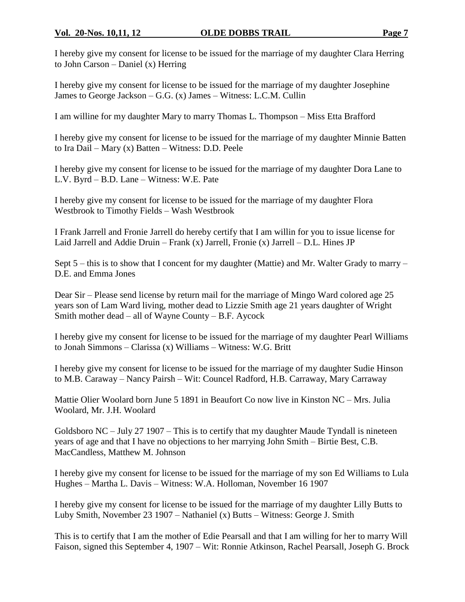I hereby give my consent for license to be issued for the marriage of my daughter Clara Herring to John Carson – Daniel  $(x)$  Herring

I hereby give my consent for license to be issued for the marriage of my daughter Josephine James to George Jackson  $-G.G. (x)$  James – Witness: L.C.M. Cullin

I am willine for my daughter Mary to marry Thomas L. Thompson – Miss Etta Brafford

I hereby give my consent for license to be issued for the marriage of my daughter Minnie Batten to Ira Dail – Mary  $(x)$  Batten – Witness: D.D. Peele

I hereby give my consent for license to be issued for the marriage of my daughter Dora Lane to L.V. Byrd – B.D. Lane – Witness: W.E. Pate

I hereby give my consent for license to be issued for the marriage of my daughter Flora Westbrook to Timothy Fields - Wash Westbrook

I Frank Jarrell and Fronie Jarrell do hereby certify that I am willin for you to issue license for Laid Jarrell and Addie Druin – Frank (x) Jarrell, Fronie (x) Jarrell – D.L. Hines JP

Sept  $5$  – this is to show that I concent for my daughter (Mattie) and Mr. Walter Grady to marry – D.E. and Emma Jones

Dear Sir –Please send license by return mail for the marriage of Mingo Ward colored age 25 years son of Lam Ward living, mother dead to Lizzie Smith age 21 years daughter of Wright Smith mother dead – all of Wayne County – B.F. Aycock

I hereby give my consent for license to be issued for the marriage of my daughter Pearl Williams to Jonah Simmons – Clarissa (x) Williams – Witness: W.G. Britt

I hereby give my consent for license to be issued for the marriage of my daughter Sudie Hinson to M.B. Caraway –Nancy Pairsh –Wit: Councel Radford, H.B. Carraway, Mary Carraway

Mattie Olier Woolard born June 5 1891 in Beaufort Co now live in Kinston NC – Mrs. Julia Woolard, Mr. J.H. Woolard

Goldsboro NC –July 27 1907 –This is to certify that my daughter Maude Tyndall is nineteen years of age and that I have no objections to her marrying John Smith – Birtie Best, C.B. MacCandless, Matthew M. Johnson

I hereby give my consent for license to be issued for the marriage of my son Ed Williams to Lula Hughes – Martha L. Davis – Witness: W.A. Holloman, November 16 1907

I hereby give my consent for license to be issued for the marriage of my daughter Lilly Butts to Luby Smith, November 23 1907 – Nathaniel (x) Butts – Witness: George J. Smith

This is to certify that I am the mother of Edie Pearsall and that I am willing for her to marry Will Faison, signed this September 4, 1907 – Wit: Ronnie Atkinson, Rachel Pearsall, Joseph G. Brock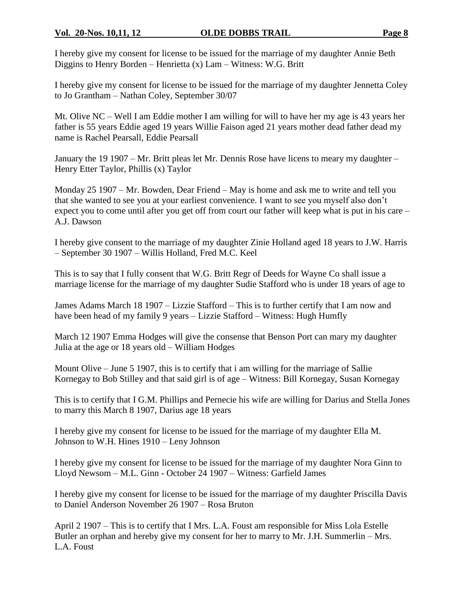I hereby give my consent for license to be issued for the marriage of my daughter Annie Beth Diggins to Henry Borden – Henrietta  $(x)$  Lam – Witness: W.G. Britt

I hereby give my consent for license to be issued for the marriage of my daughter Jennetta Coley to Jo Grantham – Nathan Coley, September 30/07

Mt. Olive NC – Well I am Eddie mother I am willing for will to have her my age is 43 years her father is 55 years Eddie aged 19 years Willie Faison aged 21 years mother dead father dead my name is Rachel Pearsall, Eddie Pearsall

January the 19 1907 – Mr. Britt pleas let Mr. Dennis Rose have licens to meary my daughter – Henry Etter Taylor, Phillis (x) Taylor

Monday  $25\ 1907 - Mr. Bowden, Dear Friend - May is home and ask me to write and tell you$ that she wanted to see you at your earliest convenience. I want to see you myself also don't expect you to come until after you get off from court our father will keep what is put in his care – A.J. Dawson

I hereby give consent to the marriage of my daughter Zinie Holland aged 18 years to J.W. Harris –September 30 1907 –Willis Holland, Fred M.C. Keel

This is to say that I fully consent that W.G. Britt Regr of Deeds for Wayne Co shall issue a marriage license for the marriage of my daughter Sudie Stafford who is under 18 years of age to

James Adams March 18 1907 –Lizzie Stafford –This is to further certify that I am now and have been head of my family 9 years – Lizzie Stafford – Witness: Hugh Humfly

March 12 1907 Emma Hodges will give the consense that Benson Port can mary my daughter Julia at the age or 18 years old –William Hodges

Mount Olive –June 5 1907, this is to certify that i am willing for the marriage of Sallie Kornegay to Bob Stilley and that said girl is of age –Witness: Bill Kornegay, Susan Kornegay

This is to certify that I G.M. Phillips and Pernecie his wife are willing for Darius and Stella Jones to marry this March 8 1907, Darius age 18 years

I hereby give my consent for license to be issued for the marriage of my daughter Ella M. Johnson to W.H. Hines 1910 –Leny Johnson

I hereby give my consent for license to be issued for the marriage of my daughter Nora Ginn to Lloyd Newsom –M.L. Ginn - October 24 1907 –Witness: Garfield James

I hereby give my consent for license to be issued for the marriage of my daughter Priscilla Davis to Daniel Anderson November 26 1907 –Rosa Bruton

April 2 1907 –This is to certify that I Mrs. L.A. Foust am responsible for Miss Lola Estelle Butler an orphan and hereby give my consent for her to marry to Mr. J.H. Summerlin – Mrs. L.A. Foust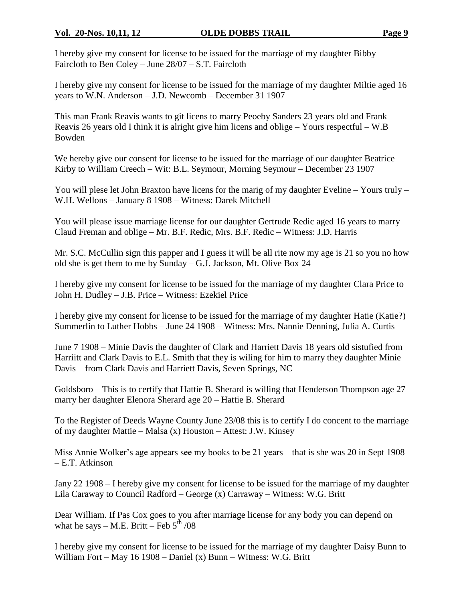I hereby give my consent for license to be issued for the marriage of my daughter Bibby Faircloth to Ben Coley – June  $28/07 - S.T.$  Faircloth

I hereby give my consent for license to be issued for the marriage of my daughter Miltie aged 16 years to W.N. Anderson – J.D. Newcomb – December 31 1907

This man Frank Reavis wants to git licens to marry Peoeby Sanders 23 years old and Frank Reavis 26 years old I think it is alright give him licens and oblige –Yours respectful –W.B Bowden

We hereby give our consent for license to be issued for the marriage of our daughter Beatrice Kirby to William Creech – Wit: B.L. Seymour, Morning Seymour – December 23 1907

You will plese let John Braxton have licens for the marig of my daughter Eveline –Yours truly – W.H. Wellons – January 8 1908 – Witness: Darek Mitchell

You will please issue marriage license for our daughter Gertrude Redic aged 16 years to marry Claud Freman and oblige –Mr. B.F. Redic, Mrs. B.F. Redic –Witness: J.D. Harris

Mr. S.C. McCullin sign this papper and I guess it will be all rite now my age is 21 so you no how old she is get them to me by Sunday –G.J. Jackson, Mt. Olive Box 24

I hereby give my consent for license to be issued for the marriage of my daughter Clara Price to John H. Dudley – J.B. Price – Witness: Ezekiel Price

I hereby give my consent for license to be issued for the marriage of my daughter Hatie (Katie?) Summerlin to Luther Hobbs – June 24 1908 – Witness: Mrs. Nannie Denning, Julia A. Curtis

June 7 1908 – Minie Davis the daughter of Clark and Harriett Davis 18 years old sistufied from Harriitt and Clark Davis to E.L. Smith that they is wiling for him to marry they daughter Minie Davis – from Clark Davis and Harriett Davis, Seven Springs, NC

Goldsboro –This is to certify that Hattie B. Sherard is willing that Henderson Thompson age 27 marry her daughter Elenora Sherard age 20 – Hattie B. Sherard

To the Register of Deeds Wayne County June 23/08 this is to certify I do concent to the marriage of my daughter Mattie – Malsa (x) Houston – Attest: J.W. Kinsey

Miss Annie Wolker's age appears see my books to be 21 years – that is she was 20 in Sept 1908 –E.T. Atkinson

Jany 22 1908 –I hereby give my consent for license to be issued for the marriage of my daughter Lila Caraway to Council Radford –George (x) Carraway –Witness: W.G. Britt

Dear William. If Pas Cox goes to you after marriage license for any body you can depend on what he says – M.E. Britt – Feb  $5<sup>th</sup> / 08$ 

I hereby give my consent for license to be issued for the marriage of my daughter Daisy Bunn to William Fort – May 16 1908 – Daniel (x) Bunn – Witness: W.G. Britt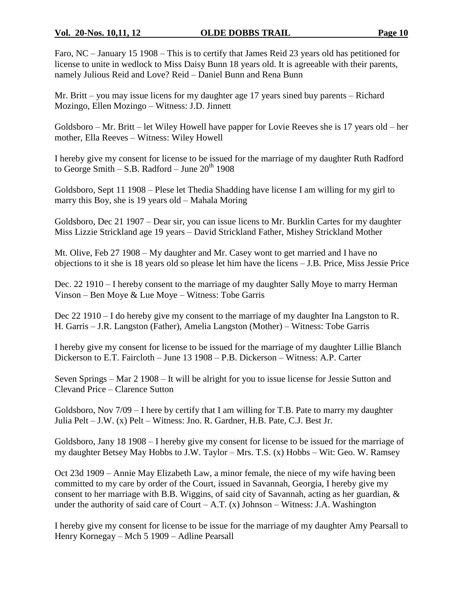Faro, NC – January 15 1908 – This is to certify that James Reid 23 years old has petitioned for license to unite in wedlock to Miss Daisy Bunn 18 years old. It is agreeable with their parents, namely Julious Reid and Love? Reid –Daniel Bunn and Rena Bunn

Mr. Britt – you may issue licens for my daughter age 17 years sined buy parents – Richard Mozingo, Ellen Mozingo –Witness: J.D. Jinnett

Goldsboro –Mr. Britt –let Wiley Howell have papper for Lovie Reeves she is 17 years old –her mother, Ella Reeves – Witness: Wiley Howell

I hereby give my consent for license to be issued for the marriage of my daughter Ruth Radford to George Smith – S.B. Radford – June  $20^{th}$  1908

Goldsboro, Sept 11 1908 – Plese let Thedia Shadding have license I am willing for my girl to marry this Boy, she is 19 years old – Mahala Moring

Goldsboro, Dec 21 1907 – Dear sir, you can issue licens to Mr. Burklin Cartes for my daughter Miss Lizzie Strickland age 19 years –David Strickland Father, Mishey Strickland Mother

Mt. Olive, Feb 27 1908 – My daughter and Mr. Casey wont to get married and I have no objections to it she is 18 years old so please let him have the licens –J.B. Price, Miss Jessie Price

Dec. 22 1910 –I hereby consent to the marriage of my daughter Sally Moye to marry Herman Vinson –Ben Moye & Lue Moye –Witness: Tobe Garris

Dec 22 1910 –I do hereby give my consent to the marriage of my daughter Ina Langston to R. H. Garris – J.R. Langston (Father), Amelia Langston (Mother) – Witness: Tobe Garris

I hereby give my consent for license to be issued for the marriage of my daughter Lillie Blanch Dickerson to E.T. Faircloth – June 13 1908 – P.B. Dickerson – Witness: A.P. Carter

Seven Springs – Mar 2 1908 – It will be alright for you to issue license for Jessie Sutton and Clevand Price –Clarence Sutton

Goldsboro, Nov 7/09 –I here by certify that I am willing for T.B. Pate to marry my daughter Julia Pelt –J.W. (x) Pelt –Witness: Jno. R. Gardner, H.B. Pate, C.J. Best Jr.

Goldsboro, Jany 18 1908 –I hereby give my consent for license to be issued for the marriage of my daughter Betsey May Hobbs to J.W. Taylor –Mrs. T.S. (x) Hobbs –Wit: Geo. W. Ramsey

Oct 23d 1909 –Annie May Elizabeth Law, a minor female, the niece of my wife having been committed to my care by order of the Court, issued in Savannah, Georgia, I hereby give my consent to her marriage with B.B. Wiggins, of said city of Savannah, acting as her guardian, & under the authority of said care of Court – A.T.  $(x)$  Johnson – Witness: J.A. Washington

I hereby give my consent for license to be issue for the marriage of my daughter Amy Pearsall to Henry Kornegay – Mch 5 1909 – Adline Pearsall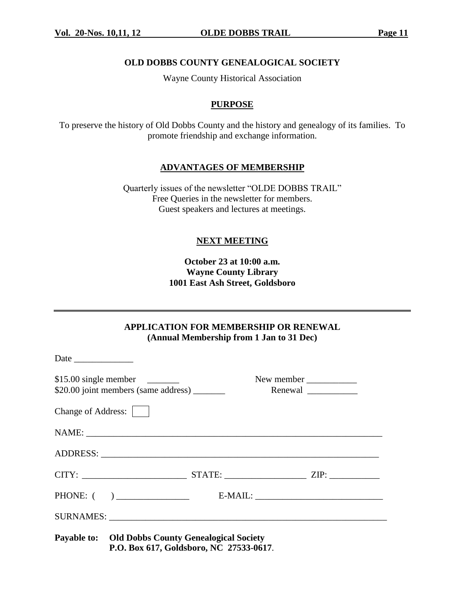#### **OLD DOBBS COUNTY GENEALOGICAL SOCIETY**

Wayne County Historical Association

#### **PURPOSE**

To preserve the history of Old Dobbs County and the history and genealogy of its families. To promote friendship and exchange information.

#### **ADVANTAGES OF MEMBERSHIP**

Quarterly issues of the newsletter "OLDE DOBBS TRAIL" Free Queries in the newsletter for members. Guest speakers and lectures at meetings.

#### **NEXT MEETING**

**October 23 at 10:00 a.m. Wayne County Library 1001 East Ash Street, Goldsboro**

**APPLICATION FOR MEMBERSHIP OR RENEWAL (Annual Membership from 1 Jan to 31 Dec)**

|                    |                                                                                                     |  | New member |
|--------------------|-----------------------------------------------------------------------------------------------------|--|------------|
| Change of Address: |                                                                                                     |  |            |
|                    |                                                                                                     |  |            |
|                    |                                                                                                     |  |            |
|                    |                                                                                                     |  |            |
|                    |                                                                                                     |  |            |
|                    |                                                                                                     |  |            |
|                    | <b>Payable to:</b> Old Dobbs County Genealogical Society<br>P.O. Box 617, Goldsboro, NC 27533-0617. |  |            |